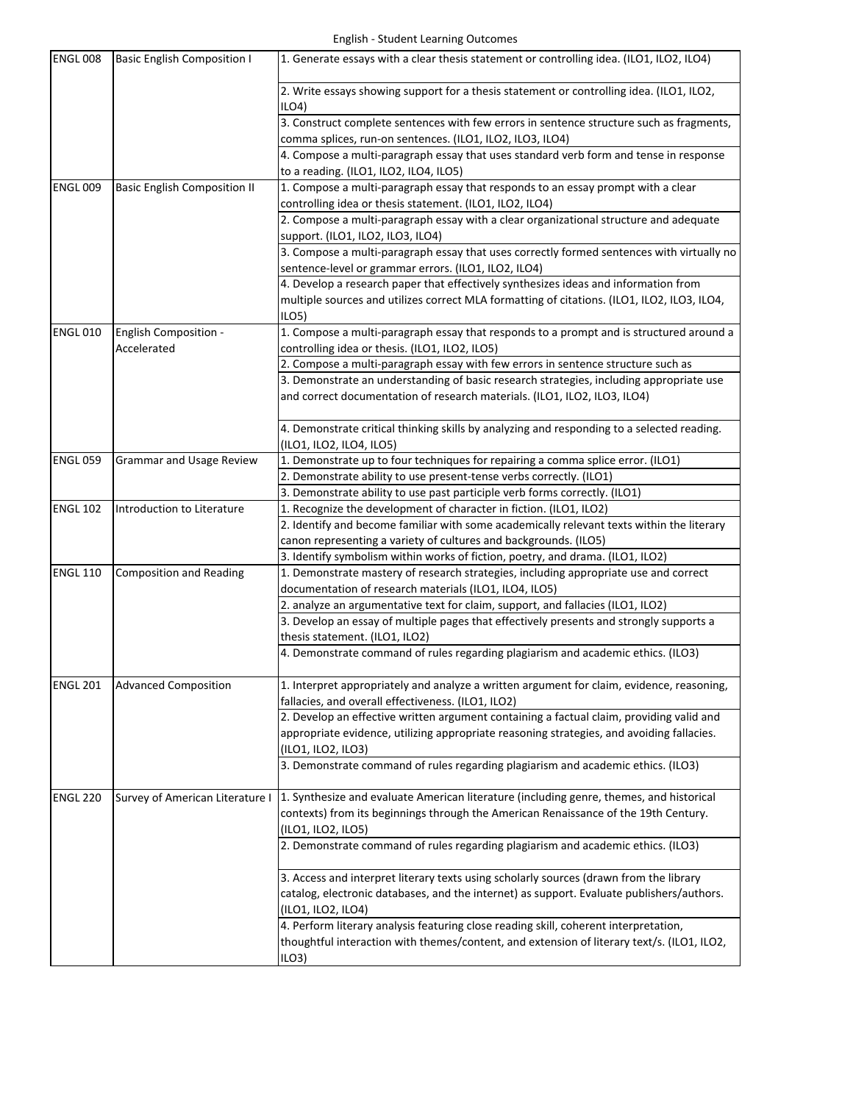| <b>ENGL 008</b> | Basic English Composition I         | 1. Generate essays with a clear thesis statement or controlling idea. (ILO1, ILO2, ILO4)                                                                                           |
|-----------------|-------------------------------------|------------------------------------------------------------------------------------------------------------------------------------------------------------------------------------|
|                 |                                     | 2. Write essays showing support for a thesis statement or controlling idea. (ILO1, ILO2,<br>ILO4                                                                                   |
|                 |                                     | 3. Construct complete sentences with few errors in sentence structure such as fragments,                                                                                           |
|                 |                                     | comma splices, run-on sentences. (ILO1, ILO2, ILO3, ILO4)                                                                                                                          |
|                 |                                     | 4. Compose a multi-paragraph essay that uses standard verb form and tense in response<br>to a reading. (ILO1, ILO2, ILO4, ILO5)                                                    |
| <b>ENGL 009</b> | <b>Basic English Composition II</b> | 1. Compose a multi-paragraph essay that responds to an essay prompt with a clear                                                                                                   |
|                 |                                     | controlling idea or thesis statement. (ILO1, ILO2, ILO4)                                                                                                                           |
|                 |                                     | 2. Compose a multi-paragraph essay with a clear organizational structure and adequate                                                                                              |
|                 |                                     | support. (ILO1, ILO2, ILO3, ILO4)                                                                                                                                                  |
|                 |                                     | 3. Compose a multi-paragraph essay that uses correctly formed sentences with virtually no                                                                                          |
|                 |                                     | sentence-level or grammar errors. (ILO1, ILO2, ILO4)                                                                                                                               |
|                 |                                     | 4. Develop a research paper that effectively synthesizes ideas and information from                                                                                                |
|                 |                                     | multiple sources and utilizes correct MLA formatting of citations. (ILO1, ILO2, ILO3, ILO4,                                                                                        |
|                 |                                     | ILO <sub>5</sub>                                                                                                                                                                   |
| <b>ENGL 010</b> | <b>English Composition -</b>        | 1. Compose a multi-paragraph essay that responds to a prompt and is structured around a                                                                                            |
|                 | Accelerated                         | controlling idea or thesis. (ILO1, ILO2, ILO5)                                                                                                                                     |
|                 |                                     | 2. Compose a multi-paragraph essay with few errors in sentence structure such as                                                                                                   |
|                 |                                     | 3. Demonstrate an understanding of basic research strategies, including appropriate use                                                                                            |
|                 |                                     | and correct documentation of research materials. (ILO1, ILO2, ILO3, ILO4)                                                                                                          |
|                 |                                     | 4. Demonstrate critical thinking skills by analyzing and responding to a selected reading.                                                                                         |
|                 |                                     | (ILO1, ILO2, ILO4, ILO5)                                                                                                                                                           |
| <b>ENGL 059</b> | <b>Grammar and Usage Review</b>     | 1. Demonstrate up to four techniques for repairing a comma splice error. (ILO1)                                                                                                    |
|                 |                                     | 2. Demonstrate ability to use present-tense verbs correctly. (ILO1)                                                                                                                |
|                 |                                     | 3. Demonstrate ability to use past participle verb forms correctly. (ILO1)                                                                                                         |
| <b>ENGL 102</b> | Introduction to Literature          | 1. Recognize the development of character in fiction. (ILO1, ILO2)                                                                                                                 |
|                 |                                     | 2. Identify and become familiar with some academically relevant texts within the literary                                                                                          |
|                 |                                     | canon representing a variety of cultures and backgrounds. (ILO5)                                                                                                                   |
|                 |                                     | 3. Identify symbolism within works of fiction, poetry, and drama. (ILO1, ILO2)                                                                                                     |
| <b>ENGL 110</b> | <b>Composition and Reading</b>      | 1. Demonstrate mastery of research strategies, including appropriate use and correct                                                                                               |
|                 |                                     | documentation of research materials (ILO1, ILO4, ILO5)                                                                                                                             |
|                 |                                     | 2. analyze an argumentative text for claim, support, and fallacies (ILO1, ILO2)<br>3. Develop an essay of multiple pages that effectively presents and strongly supports a         |
|                 |                                     | thesis statement. (ILO1, ILO2)                                                                                                                                                     |
|                 |                                     | 4. Demonstrate command of rules regarding plagiarism and academic ethics. (ILO3)                                                                                                   |
| <b>ENGL 201</b> | <b>Advanced Composition</b>         | 1. Interpret appropriately and analyze a written argument for claim, evidence, reasoning,                                                                                          |
|                 |                                     | fallacies, and overall effectiveness. (ILO1, ILO2)                                                                                                                                 |
|                 |                                     | 2. Develop an effective written argument containing a factual claim, providing valid and                                                                                           |
|                 |                                     | appropriate evidence, utilizing appropriate reasoning strategies, and avoiding fallacies.                                                                                          |
|                 |                                     | (ILO1, ILO2, ILO3)                                                                                                                                                                 |
|                 |                                     | 3. Demonstrate command of rules regarding plagiarism and academic ethics. (ILO3)                                                                                                   |
| <b>ENGL 220</b> | Survey of American Literature I     | 1. Synthesize and evaluate American literature (including genre, themes, and historical                                                                                            |
|                 |                                     | contexts) from its beginnings through the American Renaissance of the 19th Century.                                                                                                |
|                 |                                     | (ILO1, ILO2, ILO5)                                                                                                                                                                 |
|                 |                                     | 2. Demonstrate command of rules regarding plagiarism and academic ethics. (ILO3)                                                                                                   |
|                 |                                     | 3. Access and interpret literary texts using scholarly sources (drawn from the library                                                                                             |
|                 |                                     | catalog, electronic databases, and the internet) as support. Evaluate publishers/authors.                                                                                          |
|                 |                                     |                                                                                                                                                                                    |
|                 |                                     | (ILO1, ILO2, ILO4)                                                                                                                                                                 |
|                 |                                     | 4. Perform literary analysis featuring close reading skill, coherent interpretation,<br>thoughtful interaction with themes/content, and extension of literary text/s. (ILO1, ILO2, |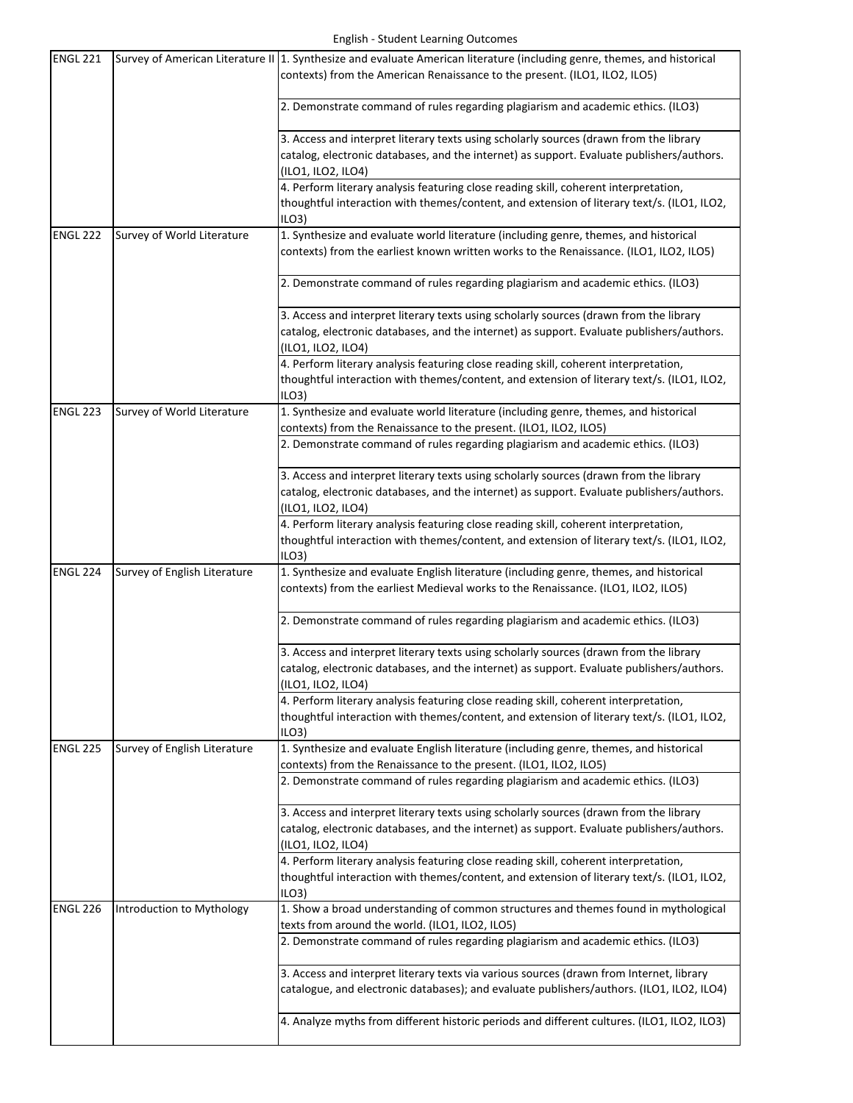| ENGL 221        |                              | Survey of American Literature II   1. Synthesize and evaluate American literature (including genre, themes, and historical<br>contexts) from the American Renaissance to the present. (ILO1, ILO2, ILO5)  |
|-----------------|------------------------------|-----------------------------------------------------------------------------------------------------------------------------------------------------------------------------------------------------------|
|                 |                              | 2. Demonstrate command of rules regarding plagiarism and academic ethics. (ILO3)                                                                                                                          |
|                 |                              | 3. Access and interpret literary texts using scholarly sources (drawn from the library<br>catalog, electronic databases, and the internet) as support. Evaluate publishers/authors.<br>(ILO1, ILO2, ILO4) |
|                 |                              | 4. Perform literary analysis featuring close reading skill, coherent interpretation,<br>thoughtful interaction with themes/content, and extension of literary text/s. (ILO1, ILO2,<br>ILO3                |
| ENGL 222        | Survey of World Literature   | 1. Synthesize and evaluate world literature (including genre, themes, and historical<br>contexts) from the earliest known written works to the Renaissance. (ILO1, ILO2, ILO5)                            |
|                 |                              | 2. Demonstrate command of rules regarding plagiarism and academic ethics. (ILO3)                                                                                                                          |
|                 |                              | 3. Access and interpret literary texts using scholarly sources (drawn from the library<br>catalog, electronic databases, and the internet) as support. Evaluate publishers/authors.<br>(ILO1, ILO2, ILO4) |
|                 |                              | 4. Perform literary analysis featuring close reading skill, coherent interpretation,                                                                                                                      |
|                 |                              | thoughtful interaction with themes/content, and extension of literary text/s. (ILO1, ILO2,<br>ILO3                                                                                                        |
| <b>ENGL 223</b> | Survey of World Literature   | 1. Synthesize and evaluate world literature (including genre, themes, and historical<br>contexts) from the Renaissance to the present. (ILO1, ILO2, ILO5)                                                 |
|                 |                              | 2. Demonstrate command of rules regarding plagiarism and academic ethics. (ILO3)                                                                                                                          |
|                 |                              | 3. Access and interpret literary texts using scholarly sources (drawn from the library<br>catalog, electronic databases, and the internet) as support. Evaluate publishers/authors.<br>(ILO1, ILO2, ILO4) |
|                 |                              | 4. Perform literary analysis featuring close reading skill, coherent interpretation,<br>thoughtful interaction with themes/content, and extension of literary text/s. (ILO1, ILO2,<br>ILO3                |
| ENGL 224        | Survey of English Literature | 1. Synthesize and evaluate English literature (including genre, themes, and historical<br>contexts) from the earliest Medieval works to the Renaissance. (ILO1, ILO2, ILO5)                               |
|                 |                              | 2. Demonstrate command of rules regarding plagiarism and academic ethics. (ILO3)                                                                                                                          |
|                 |                              | 3. Access and interpret literary texts using scholarly sources (drawn from the library                                                                                                                    |
|                 |                              | catalog, electronic databases, and the internet) as support. Evaluate publishers/authors.<br>(ILO1, ILO2, ILO4)                                                                                           |
|                 |                              | 4. Perform literary analysis featuring close reading skill, coherent interpretation,                                                                                                                      |
|                 |                              | thoughtful interaction with themes/content, and extension of literary text/s. (ILO1, ILO2,<br>ILO3                                                                                                        |
| ENGL 225        | Survey of English Literature | 1. Synthesize and evaluate English literature (including genre, themes, and historical<br>contexts) from the Renaissance to the present. (ILO1, ILO2, ILO5)                                               |
|                 |                              | 2. Demonstrate command of rules regarding plagiarism and academic ethics. (ILO3)                                                                                                                          |
|                 |                              | 3. Access and interpret literary texts using scholarly sources (drawn from the library<br>catalog, electronic databases, and the internet) as support. Evaluate publishers/authors.<br>(ILO1, ILO2, ILO4) |
|                 |                              | 4. Perform literary analysis featuring close reading skill, coherent interpretation,                                                                                                                      |
|                 |                              | thoughtful interaction with themes/content, and extension of literary text/s. (ILO1, ILO2,<br>ILO3                                                                                                        |
| ENGL 226        | Introduction to Mythology    | 1. Show a broad understanding of common structures and themes found in mythological<br>texts from around the world. (ILO1, ILO2, ILO5)                                                                    |
|                 |                              | 2. Demonstrate command of rules regarding plagiarism and academic ethics. (ILO3)                                                                                                                          |
|                 |                              | 3. Access and interpret literary texts via various sources (drawn from Internet, library<br>catalogue, and electronic databases); and evaluate publishers/authors. (ILO1, ILO2, ILO4)                     |
|                 |                              | 4. Analyze myths from different historic periods and different cultures. (ILO1, ILO2, ILO3)                                                                                                               |